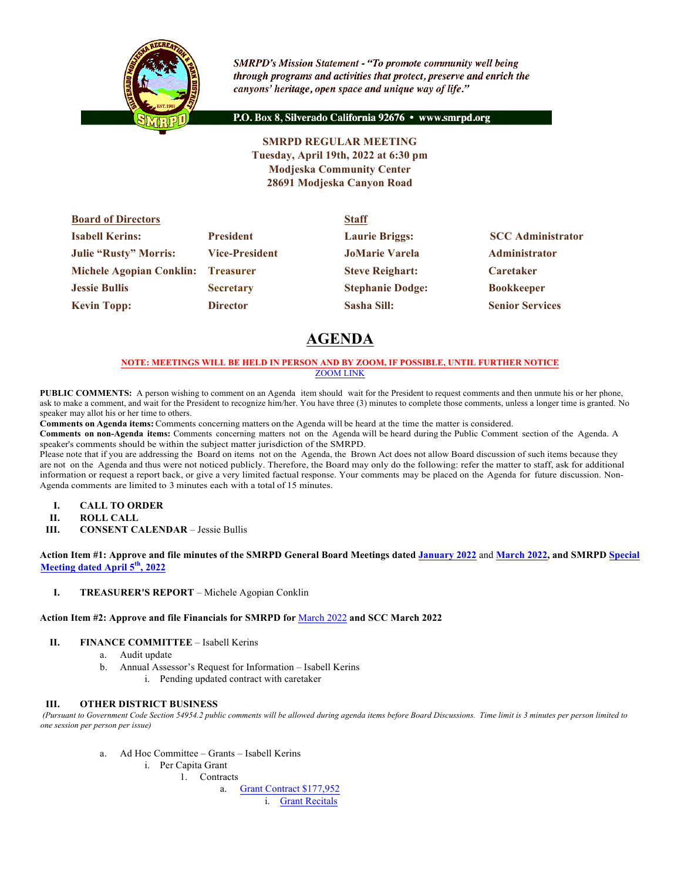

**SMRPD's Mission Statement - "To promote community well being** through programs and activities that protect, preserve and enrich the canyons' heritage, open space and unique way of life."

P.O. Box 8, Silverado California 92676 · www.smrpd.org

**SMRPD REGULAR MEETING Tuesday, April 19th, 2022 at 6:30 pm Modjeska Community Center 28691 Modjeska Canyon Road**

| <b>Board of Directors</b>          |                       | <b>Staff</b>            |                          |  |
|------------------------------------|-----------------------|-------------------------|--------------------------|--|
| <b>Isabell Kerins:</b>             | <b>President</b>      | <b>Laurie Briggs:</b>   | <b>SCC Administrator</b> |  |
| <b>Julie "Rusty" Morris:</b>       | <b>Vice-President</b> | <b>JoMarie Varela</b>   | <b>Administrator</b>     |  |
| Michele Agopian Conklin: Treasurer |                       | <b>Steve Reighart:</b>  | <b>Caretaker</b>         |  |
| <b>Jessie Bullis</b>               | <b>Secretary</b>      | <b>Stephanie Dodge:</b> | <b>Bookkeeper</b>        |  |
| <b>Kevin Topp:</b>                 | <b>Director</b>       | Sasha Sill:             | <b>Senior Services</b>   |  |

# **AGENDA**

## **NOTE: MEETINGS WILL BE HELD IN PERSON AND BY ZOOM, IF POSSIBLE, UNTIL FURTHER NOTICE** ZOOM LINK

**PUBLIC COMMENTS:** A person wishing to comment on an Agenda item should wait for the President to request comments and then unmute his or her phone, ask to make a comment, and wait for the President to recognize him/her. You have three (3) minutes to complete those comments, unless a longer time is granted. No speaker may allot his or her time to others.

**Comments on Agenda items:** Comments concerning matters on the Agenda will be heard at the time the matter is considered.

**Comments on non-Agenda items:** Comments concerning matters not on the Agenda will be heard during the Public Comment section of the Agenda. A speaker's comments should be within the subject matter jurisdiction of the SMRPD.

Please note that if you are addressing the Board on items not on the Agenda, the Brown Act does not allow Board discussion of such items because they are not on the Agenda and thus were not noticed publicly. Therefore, the Board may only do the following: refer the matter to staff, ask for additional information or request a report back, or give a very limited factual response. Your comments may be placed on the Agenda for future discussion. Non-Agenda comments are limited to 3 minutes each with a total of 15 minutes.

- **I. CALL TO ORDER**
- **II. ROLL CALL**
- **III. CONSENT CALENDAR** Jessie Bullis

**Action Item #1: Approve and file minutes of the SMRPD General Board Meetings dated January 2022** and **March 2022, and SMRPD Special Meeting dated April 5th, 2022**

**I. TREASURER'S REPORT** – Michele Agopian Conklin

## **Action Item #2: Approve and file Financials for SMRPD for** March 2022 **and SCC March 2022**

- **II. FINANCE COMMITTEE** Isabell Kerins
	- a. Audit update
	- b. Annual Assessor's Request for Information Isabell Kerins
		- i. Pending updated contract with caretaker

## **III. OTHER DISTRICT BUSINESS**

*(Pursuant to Government Code Section 54954.2 public comments will be allowed during agenda items before Board Discussions. Time limit is 3 minutes per person limited to one session per person per issue)*

- a. Ad Hoc Committee Grants Isabell Kerins
	- i. Per Capita Grant
		- 1. Contracts
			- a. Grant Contract \$177,952
				- i. Grant Recitals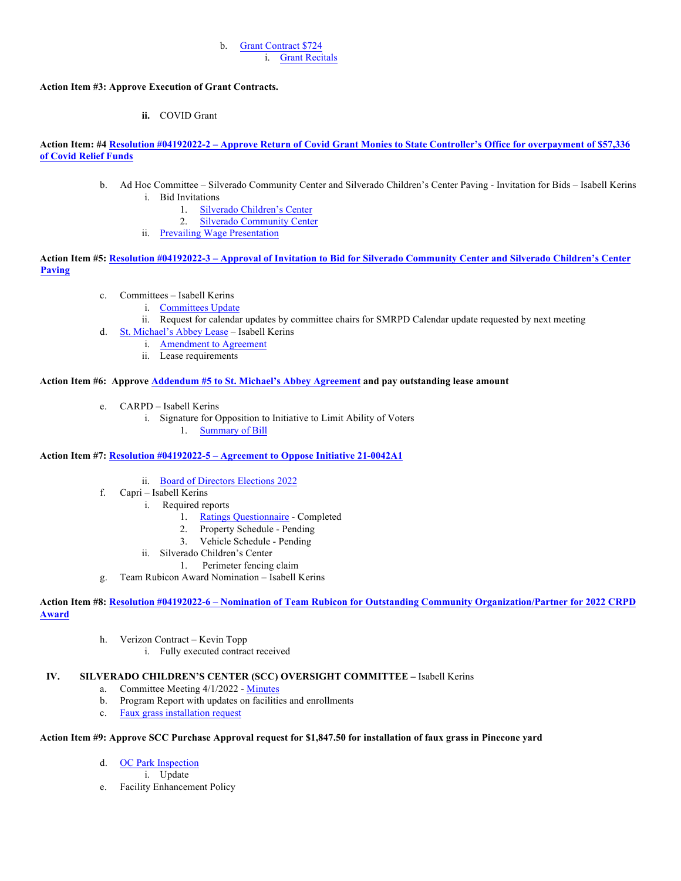#### b. Grant Contract \$724 i. Grant Recitals

## **Action Item #3: Approve Execution of Grant Contracts.**

**ii.** COVID Grant

**Action Item: #4 Resolution #04192022-2 – Approve Return of Covid Grant Monies to State Controller's Office for overpayment of \$57,336 of Covid Relief Funds**

- b. Ad Hoc Committee Silverado Community Center and Silverado Children's Center Paving Invitation for Bids Isabell Kerins i. Bid Invitations
	- 1. Silverado Children's Center
	- 2. Silverado Community Center
	- ii. Prevailing Wage Presentation

**Action Item #5: Resolution #04192022-3 – Approval of Invitation to Bid for Silverado Community Center and Silverado Children's Center Paving**

- c. Committees Isabell Kerins
	- i. Committees Update
	- ii. Request for calendar updates by committee chairs for SMRPD Calendar update requested by next meeting
- d. St. Michael's Abbey Lease Isabell Kerins
	- i. Amendment to Agreement
		- ii. Lease requirements

## **Action Item #6: Approve Addendum #5 to St. Michael's Abbey Agreement and pay outstanding lease amount**

- e. CARPD Isabell Kerins
	- i. Signature for Opposition to Initiative to Limit Ability of Voters
		- 1. Summary of Bill

## **Action Item #7: Resolution #04192022-5 – Agreement to Oppose Initiative 21-0042A1**

- ii. Board of Directors Elections 2022
- f. Capri Isabell Kerins
	- i. Required reports
		- 1. Ratings Questionnaire Completed
		- 2. Property Schedule Pending
		- 3. Vehicle Schedule Pending
	- ii. Silverado Children's Center
		- 1. Perimeter fencing claim
- g. Team Rubicon Award Nomination Isabell Kerins

**Action Item #8: Resolution #04192022-6 – Nomination of Team Rubicon for Outstanding Community Organization/Partner for 2022 CRPD Award**

- h. Verizon Contract Kevin Topp
	- i. Fully executed contract received

## **IV. SILVERADO CHILDREN'S CENTER (SCC) OVERSIGHT COMMITTEE –** Isabell Kerins

- a. Committee Meeting 4/1/2022 Minutes
- b. Program Report with updates on facilities and enrollments
- c. Faux grass installation request

## **Action Item #9: Approve SCC Purchase Approval request for \$1,847.50 for installation of faux grass in Pinecone yard**

- d. OC Park Inspection
	- i. Update
- e. Facility Enhancement Policy